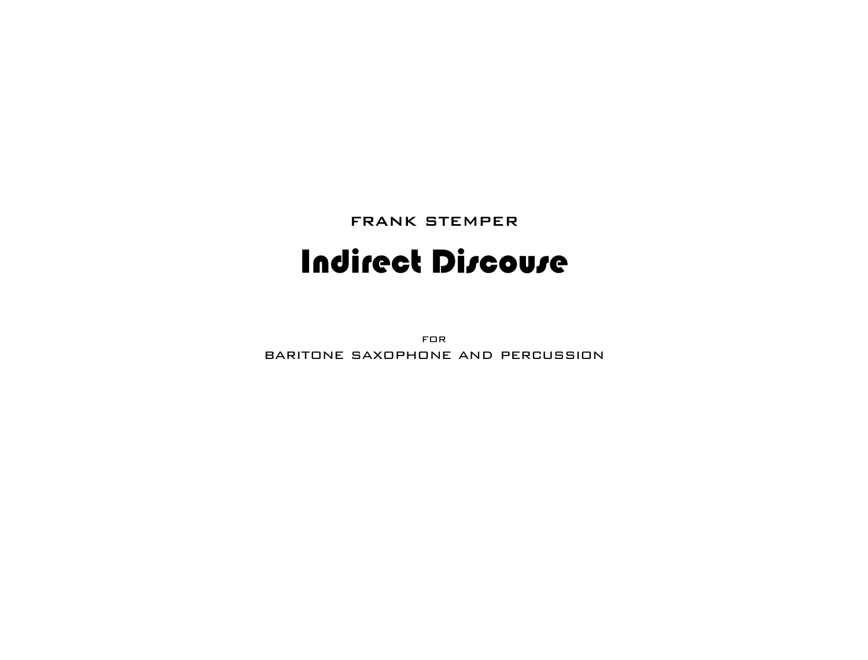## FRANK STEMPER

## Indirect Discouse

**FOR** 

baritone saxophone and percussion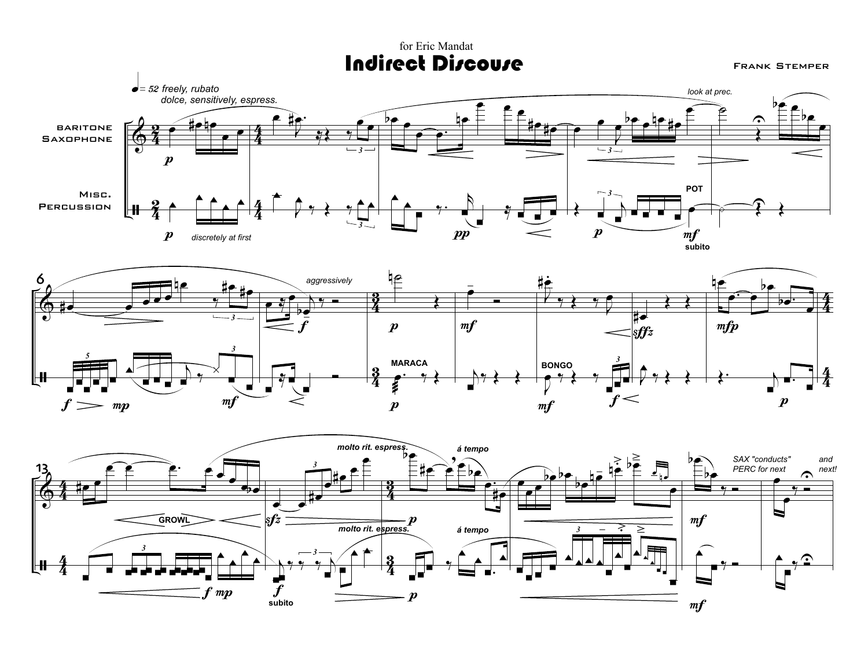## Indirect Discouse FRANK STEMPER for Eric Mandat





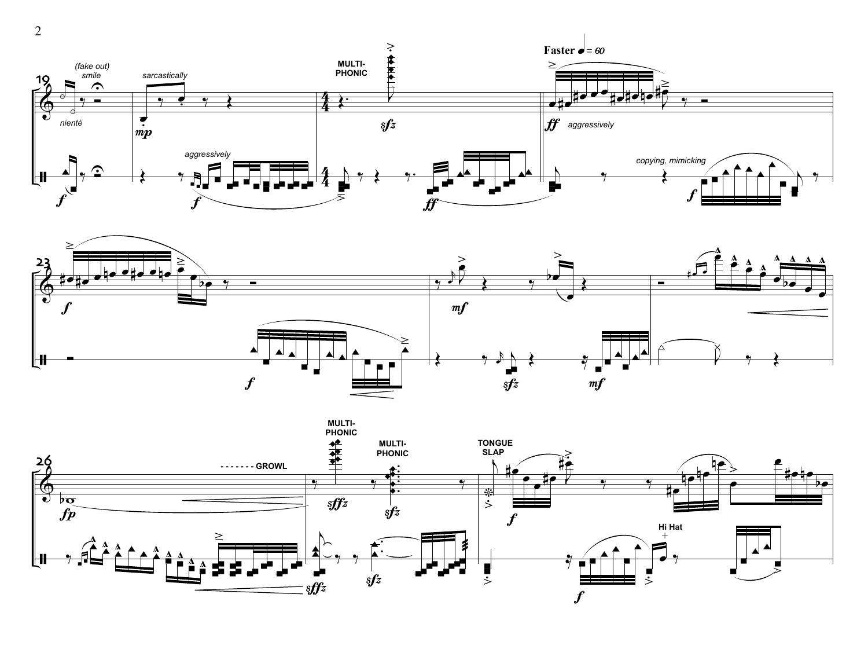



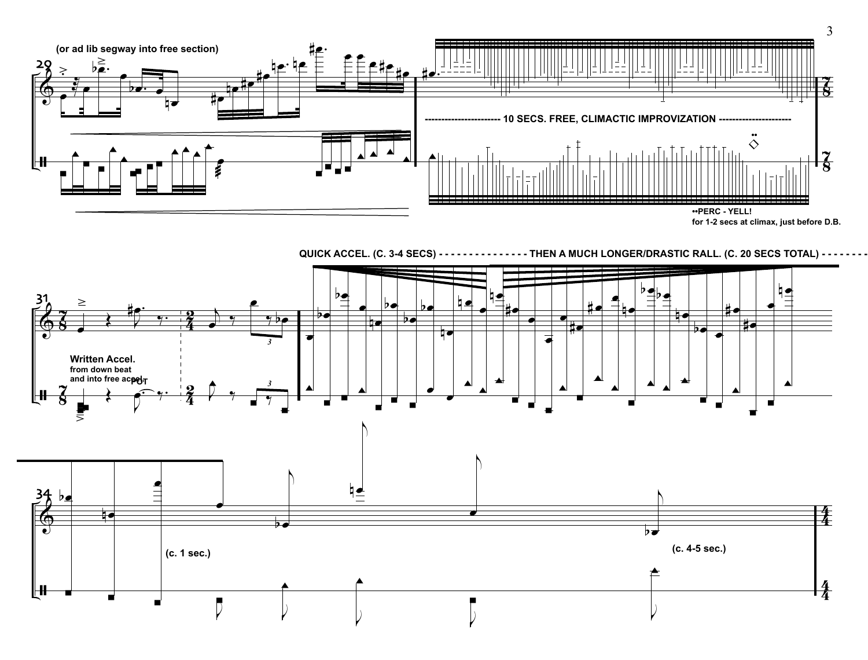



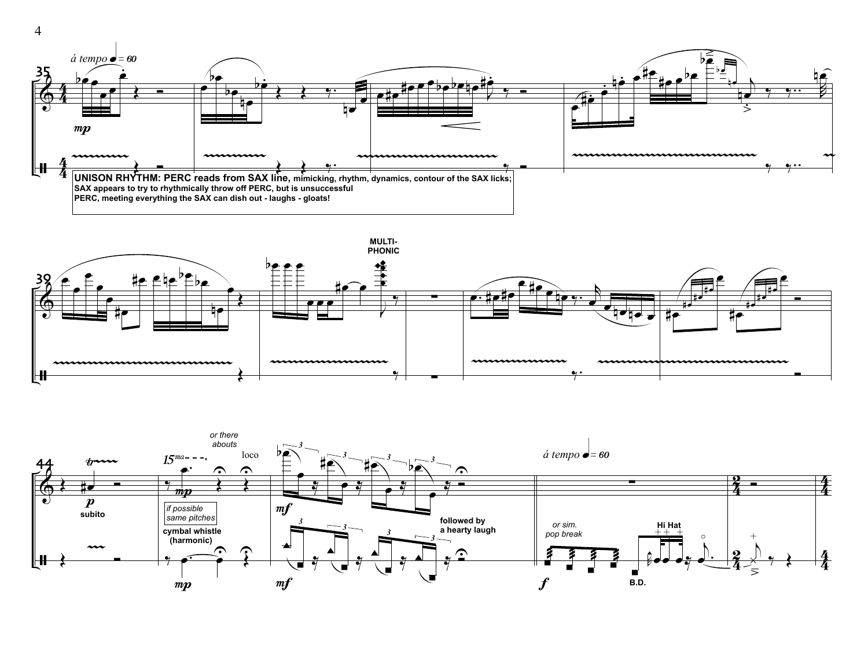



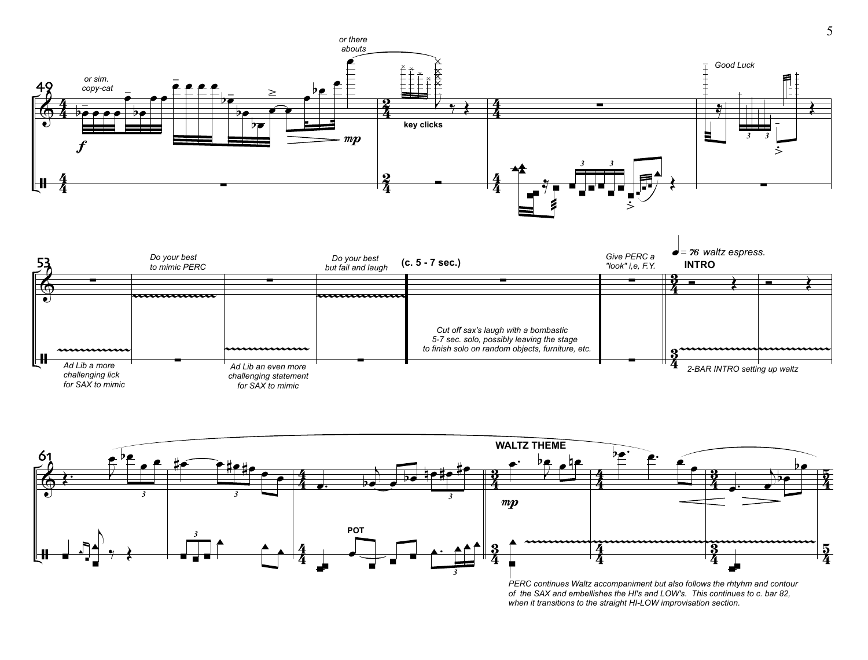





*PERC continues Waltz accompaniment but also follows the rhtyhm and contour of the SAX and embellishes the HI's and LOW's. This continues to c. bar 82, when it transitions to the straight HI-LOW improvisation section.*